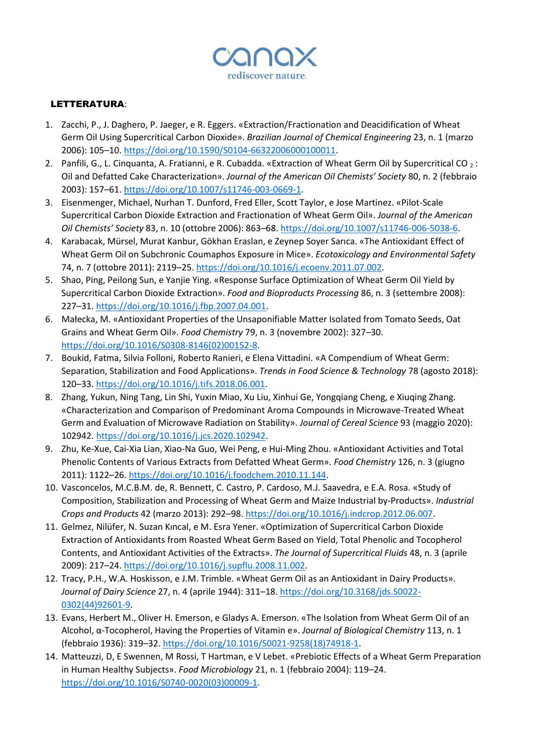

## LETTERATURA:

- 1. Zacchi, P., J. Daghero, P. Jaeger, e R. Eggers. «Extraction/Fractionation and Deacidification of Wheat Germ Oil Using Supercritical Carbon Dioxide». *Brazilian Journal of Chemical Engineering* 23, n. 1 (marzo 2006): 105–10. [https://doi.org/10.1590/S0104-66322006000100011.](https://doi.org/10.1590/S0104-66322006000100011)
- 2. Panfili, G., L. Cinquanta, A. Fratianni, e R. Cubadda. «Extraction of Wheat Germ Oil by Supercritical CO  $_2$ : Oil and Defatted Cake Characterization». *Journal of the American Oil Chemists' Society* 80, n. 2 (febbraio 2003): 157–61. [https://doi.org/10.1007/s11746-003-0669-1.](https://doi.org/10.1007/s11746-003-0669-1)
- 3. Eisenmenger, Michael, Nurhan T. Dunford, Fred Eller, Scott Taylor, e Jose Martinez. «Pilot-Scale Supercritical Carbon Dioxide Extraction and Fractionation of Wheat Germ Oil». *Journal of the American Oil Chemists' Society* 83, n. 10 (ottobre 2006): 863–68[. https://doi.org/10.1007/s11746-006-5038-6.](https://doi.org/10.1007/s11746-006-5038-6)
- 4. Karabacak, Mürsel, Murat Kanbur, Gökhan Eraslan, e Zeynep Soyer Sarıca. «The Antioxidant Effect of Wheat Germ Oil on Subchronic Coumaphos Exposure in Mice». *Ecotoxicology and Environmental Safety* 74, n. 7 (ottobre 2011): 2119–25[. https://doi.org/10.1016/j.ecoenv.2011.07.002.](https://doi.org/10.1016/j.ecoenv.2011.07.002)
- 5. Shao, Ping, Peilong Sun, e Yanjie Ying. «Response Surface Optimization of Wheat Germ Oil Yield by Supercritical Carbon Dioxide Extraction». *Food and Bioproducts Processing* 86, n. 3 (settembre 2008): 227–31. [https://doi.org/10.1016/j.fbp.2007.04.001.](https://doi.org/10.1016/j.fbp.2007.04.001)
- 6. Małecka, M. «Antioxidant Properties of the Unsaponifiable Matter Isolated from Tomato Seeds, Oat Grains and Wheat Germ Oil». *Food Chemistry* 79, n. 3 (novembre 2002): 327–30. [https://doi.org/10.1016/S0308-8146\(02\)00152-8.](https://doi.org/10.1016/S0308-8146(02)00152-8)
- 7. Boukid, Fatma, Silvia Folloni, Roberto Ranieri, e Elena Vittadini. «A Compendium of Wheat Germ: Separation, Stabilization and Food Applications». *Trends in Food Science & Technology* 78 (agosto 2018): 120–33. [https://doi.org/10.1016/j.tifs.2018.06.001.](https://doi.org/10.1016/j.tifs.2018.06.001)
- 8. Zhang, Yukun, Ning Tang, Lin Shi, Yuxin Miao, Xu Liu, Xinhui Ge, Yongqiang Cheng, e Xiuqing Zhang. «Characterization and Comparison of Predominant Aroma Compounds in Microwave-Treated Wheat Germ and Evaluation of Microwave Radiation on Stability». *Journal of Cereal Science* 93 (maggio 2020): 102942[. https://doi.org/10.1016/j.jcs.2020.102942.](https://doi.org/10.1016/j.jcs.2020.102942)
- 9. Zhu, Ke-Xue, Cai-Xia Lian, Xiao-Na Guo, Wei Peng, e Hui-Ming Zhou. «Antioxidant Activities and Total Phenolic Contents of Various Extracts from Defatted Wheat Germ». *Food Chemistry* 126, n. 3 (giugno 2011): 1122–26. [https://doi.org/10.1016/j.foodchem.2010.11.144.](https://doi.org/10.1016/j.foodchem.2010.11.144)
- 10. Vasconcelos, M.C.B.M. de, R. Bennett, C. Castro, P. Cardoso, M.J. Saavedra, e E.A. Rosa. «Study of Composition, Stabilization and Processing of Wheat Germ and Maize Industrial by-Products». *Industrial Crops and Products* 42 (marzo 2013): 292–98. [https://doi.org/10.1016/j.indcrop.2012.06.007.](https://doi.org/10.1016/j.indcrop.2012.06.007)
- 11. Gelmez, Nilüfer, N. Suzan Kıncal, e M. Esra Yener. «Optimization of Supercritical Carbon Dioxide Extraction of Antioxidants from Roasted Wheat Germ Based on Yield, Total Phenolic and Tocopherol Contents, and Antioxidant Activities of the Extracts». *The Journal of Supercritical Fluids* 48, n. 3 (aprile 2009): 217–24. [https://doi.org/10.1016/j.supflu.2008.11.002.](https://doi.org/10.1016/j.supflu.2008.11.002)
- 12. Tracy, P.H., W.A. Hoskisson, e J.M. Trimble. «Wheat Germ Oil as an Antioxidant in Dairy Products». *Journal of Dairy Science* 27, n. 4 (aprile 1944): 311–18. [https://doi.org/10.3168/jds.S0022-](https://doi.org/10.3168/jds.S0022-0302(44)92601-9) [0302\(44\)92601-9.](https://doi.org/10.3168/jds.S0022-0302(44)92601-9)
- 13. Evans, Herbert M., Oliver H. Emerson, e Gladys A. Emerson. «The Isolation from Wheat Germ Oil of an Alcohol, α-Tocopherol, Having the Properties of Vitamin e». *Journal of Biological Chemistry* 113, n. 1 (febbraio 1936): 319–32. [https://doi.org/10.1016/S0021-9258\(18\)74918-1.](https://doi.org/10.1016/S0021-9258(18)74918-1)
- 14. Matteuzzi, D, E Swennen, M Rossi, T Hartman, e V Lebet. «Prebiotic Effects of a Wheat Germ Preparation in Human Healthy Subjects». *Food Microbiology* 21, n. 1 (febbraio 2004): 119–24. [https://doi.org/10.1016/S0740-0020\(03\)00009-1.](https://doi.org/10.1016/S0740-0020(03)00009-1)